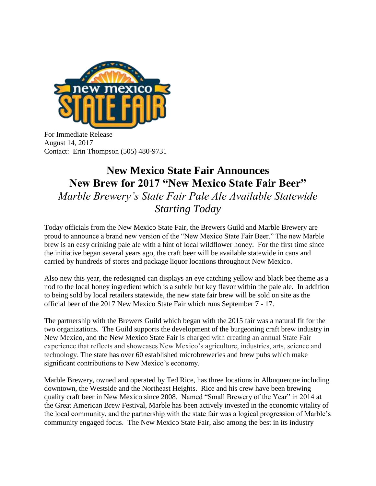

For Immediate Release August 14, 2017 Contact: Erin Thompson (505) 480-9731

## **New Mexico State Fair Announces New Brew for 2017 "New Mexico State Fair Beer"** *Marble Brewery's State Fair Pale Ale Available Statewide Starting Today*

Today officials from the New Mexico State Fair, the Brewers Guild and Marble Brewery are proud to announce a brand new version of the "New Mexico State Fair Beer." The new Marble brew is an easy drinking pale ale with a hint of local wildflower honey. For the first time since the initiative began several years ago, the craft beer will be available statewide in cans and carried by hundreds of stores and package liquor locations throughout New Mexico.

Also new this year, the redesigned can displays an eye catching yellow and black bee theme as a nod to the local honey ingredient which is a subtle but key flavor within the pale ale. In addition to being sold by local retailers statewide, the new state fair brew will be sold on site as the official beer of the 2017 New Mexico State Fair which runs September 7 - 17.

The partnership with the Brewers Guild which began with the 2015 fair was a natural fit for the two organizations. The Guild supports the development of the burgeoning craft brew industry in New Mexico, and the New Mexico State Fair is charged with creating an annual State Fair experience that reflects and showcases New Mexico's agriculture, industries, arts, science and technology. The state has over 60 established microbreweries and brew pubs which make significant contributions to New Mexico's economy.

Marble Brewery, owned and operated by Ted Rice, has three locations in Albuquerque including downtown, the Westside and the Northeast Heights. Rice and his crew have been brewing quality craft beer in New Mexico since 2008. Named "Small Brewery of the Year" in 2014 at the Great American Brew Festival, Marble has been actively invested in the economic vitality of the local community, and the partnership with the state fair was a logical progression of Marble's community engaged focus. The New Mexico State Fair, also among the best in its industry